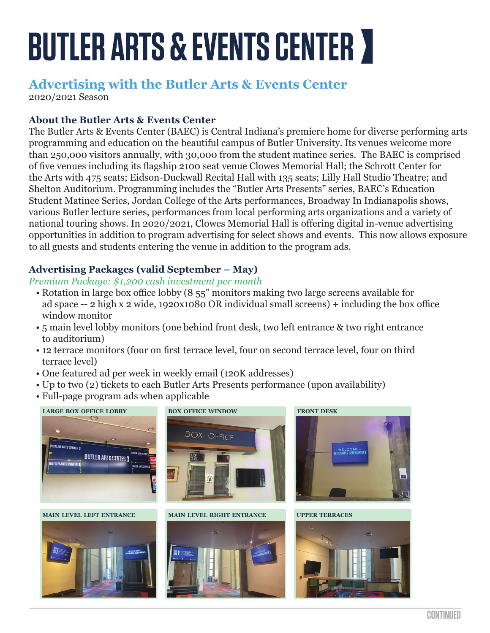# **BUTLER ARTS & EVENTS CENTER >**

# **Advertising with the Butler Arts & Events Center**

2020/2021 Season

# **About the Butler Arts & Events Center**

The Butler Arts & Events Center (BAEC) is Central Indiana's premiere home for diverse performing arts programming and education on the beautiful campus of Butler University. Its venues welcome more than 250,000 visitors annually, with 30,000 from the student matinee series. The BAEC is comprised of five venues including its flagship 2100 seat venue Clowes Memorial Hall; the Schrott Center for the Arts with 475 seats; Eidson-Duckwall Recital Hall with 135 seats; Lilly Hall Studio Theatre; and Shelton Auditorium. Programming includes the "Butler Arts Presents" series, BAEC's Education Student Matinee Series, Jordan College of the Arts performances, Broadway In Indianapolis shows, various Butler lecture series, performances from local performing arts organizations and a variety of national touring shows. In 2020/2021, Clowes Memorial Hall is offering digital in-venue advertising opportunities in addition to program advertising for select shows and events. This now allows exposure to all guests and students entering the venue in addition to the program ads.

# **Advertising Packages (valid September – May)**

#### *Premium Package: \$1,200 cash investment per month*

- Rotation in large box office lobby (8 55" monitors making two large screens available for ad space -- 2 high x 2 wide, 1920x1080 OR individual small screens) + including the box office window monitor
- 5 main level lobby monitors (one behind front desk, two left entrance & two right entrance to auditorium)
- 12 terrace monitors (four on first terrace level, four on second terrace level, four on third terrace level)
- One featured ad per week in weekly email (120K addresses)
- Up to two (2) tickets to each Butler Arts Presents performance (upon availability)
- Full-page program ads when applicable